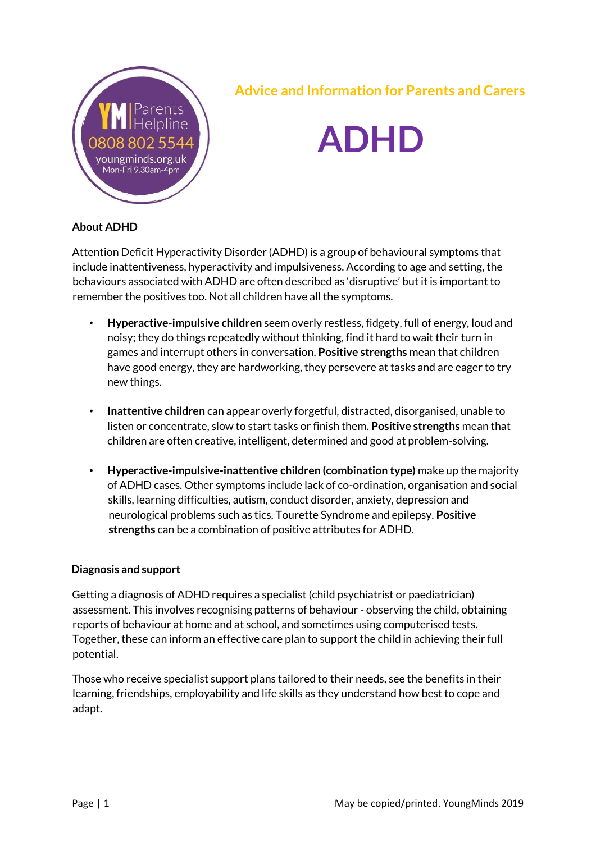

### **Advice and Information for Parents and Carers**

# **ADHD**

#### **About ADHD**

Attention Deficit Hyperactivity Disorder (ADHD) is a group of behavioural symptoms that include inattentiveness, hyperactivity and impulsiveness. According to age and setting, the behaviours associated with ADHD are often described as 'disruptive' but it is important to remember the positives too. Not all children have all the symptoms.

- **Hyperactive-impulsive children** seem overly restless, fidgety, full of energy, loud and noisy; they do things repeatedly without thinking, find it hard to wait their turn in games and interrupt others in conversation. **Positive strengths** mean that children have good energy, they are hardworking, they persevere at tasks and are eager to try new things.
- **Inattentive children** can appear overly forgetful, distracted, disorganised, unable to listen or concentrate, slow to start tasks or finish them. **Positive strengths** mean that children are often creative, intelligent, determined and good at problem-solving.
- **Hyperactive-impulsive-inattentive children (combination type)** make up the majority of ADHD cases. Other symptoms include lack of co-ordination, organisation and social skills, learning difficulties, autism, conduct disorder, anxiety, depression and neurological problems such as tics, Tourette Syndrome and epilepsy. **Positive strengths** can be a combination of positive attributes for ADHD.

#### **Diagnosis and support**

Getting a diagnosis of ADHD requires a specialist (child psychiatrist or paediatrician) assessment. This involves recognising patterns of behaviour - observing the child, obtaining reports of behaviour at home and at school, and sometimes using computerised tests. Together, these can inform an effective care plan to support the child in achieving their full potential.

Those who receive specialist support plans tailored to their needs, see the benefits in their learning, friendships, employability and life skills as they understand how best to cope and adapt.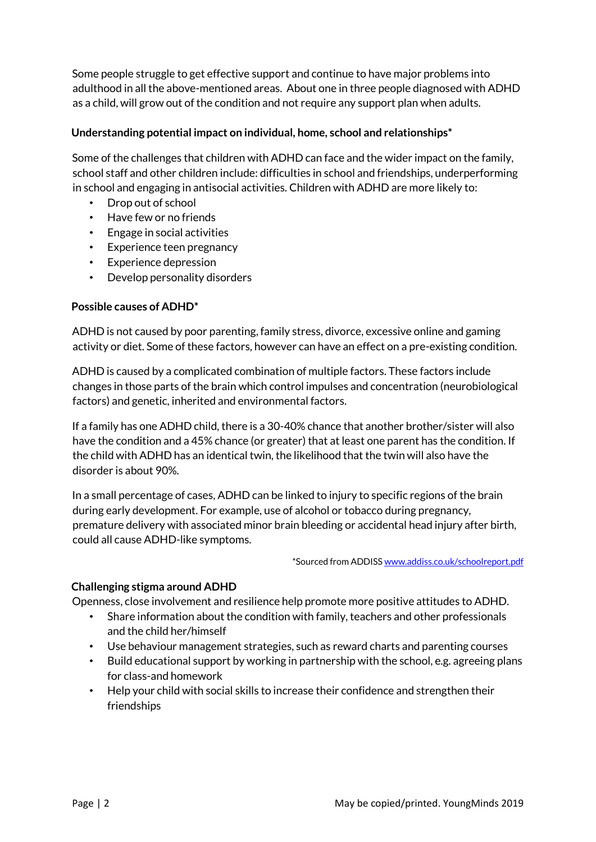Some people struggle to get effective support and continue to have major problems into adulthood in all the above-mentioned areas. About one in three people diagnosed with ADHD as a child, will grow out of the condition and not require any support plan when adults.

#### **Understanding potential impact on individual, home, school and relationships\***

Some of the challenges that children with ADHD can face and the wider impact on the family, school staff and other children include: difficulties in school and friendships, underperforming in school and engaging in antisocial activities. Children with ADHD are more likely to:

- Drop out of school
- Have few or no friends
- Engage in social activities
- Experience teen pregnancy
- Experience depression
- Develop personality disorders

#### **Possible causes of ADHD\***

ADHD is not caused by poor parenting, family stress, divorce, excessive online and gaming activity or diet. Some of these factors, however can have an effect on a pre-existing condition.

ADHD is caused by a complicated combination of multiple factors. These factors include changes in those parts of the brain which control impulses and concentration (neurobiological factors) and genetic, inherited and environmental factors.

If a family has one ADHD child, there is a 30-40% chance that another brother/sister will also have the condition and a 45% chance (or greater) that at least one parent has the condition. If the child with ADHD has an identical twin, the likelihood that the twin will also have the disorder is about 90%.

In a small percentage of cases, ADHD can be linked to injury to specific regions of the brain during early development. For example, use of alcohol or tobacco during pregnancy, premature delivery with associated minor brain bleeding or accidental head injury after birth, could all cause ADHD-like symptoms.

\*Sourced from ADDI[SS www.addiss.co.uk/schoolreport.pdf](http://www.addiss.co.uk/schoolreport.pdf)

#### **Challenging stigma around ADHD**

Openness, close involvement and resilience help promote more positive attitudes to ADHD.

- Share information about the condition with family, teachers and other professionals and the child her/himself
- Use behaviour management strategies, such as reward charts and parenting courses
- Build educational support by working in partnership with the school, e.g. agreeing plans for class-and homework
- Help your child with social skills to increase their confidence and strengthen their friendships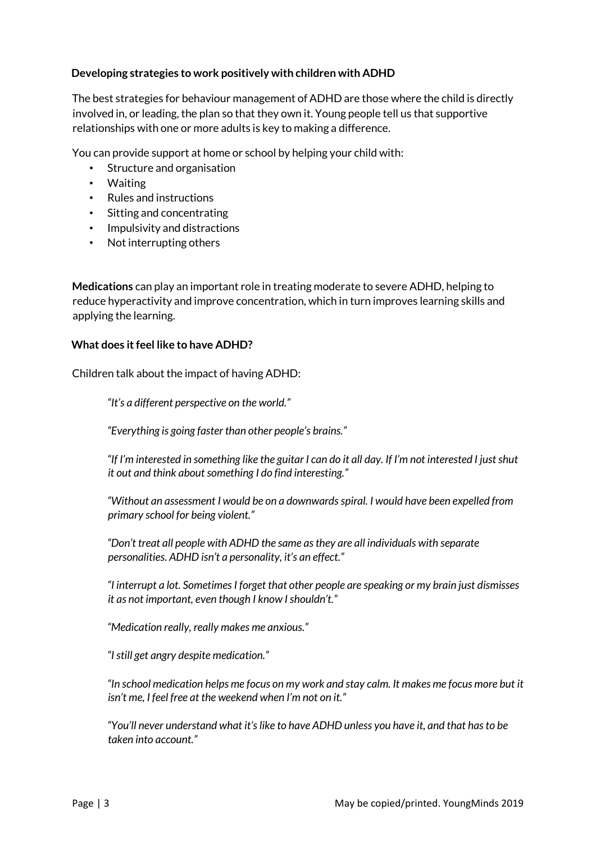#### **Developing strategies to work positively with children with ADHD**

The best strategies for behaviour management of ADHD are those where the child is directly involved in, or leading, the plan so that they own it. Young people tell us that supportive relationships with one or more adults is key to making a difference.

You can provide support at home or school by helping your child with:

- Structure and organisation
- Waiting
- Rules and instructions
- Sitting and concentrating
- Impulsivity and distractions
- Not interrupting others

**Medications** can play an important role in treating moderate to severe ADHD, helping to reduce hyperactivity and improve concentration, which in turn improves learning skills and applying the learning.

#### **What does it feel like to have ADHD?**

Children talk about the impact of having ADHD:

*"It's a different perspective on the world."* 

*"Everything is going faster than other people's brains."* 

*"If I'm interested in something like the guitar I can do it all day. If I'm not interested I just shut it out and think about something I do find interesting."* 

*"Without an assessment I would be on a downwards spiral. I would have been expelled from primary school for being violent."* 

*"Don't treat all people with ADHD the same as they are all individuals with separate personalities. ADHD isn't a personality, it's an effect."* 

*"I interrupt a lot. Sometimes I forget that other people are speaking or my brain just dismisses it as not important, even though I know I shouldn't."* 

*"Medication really, really makes me anxious."* 

*"I still get angry despite medication."* 

*"In school medication helps me focus on my work and stay calm. It makes me focus more but it isn't me, I feel free at the weekend when I'm not on it."* 

*"You'll never understand what it's like to have ADHD unless you have it, and that has to be taken into account."*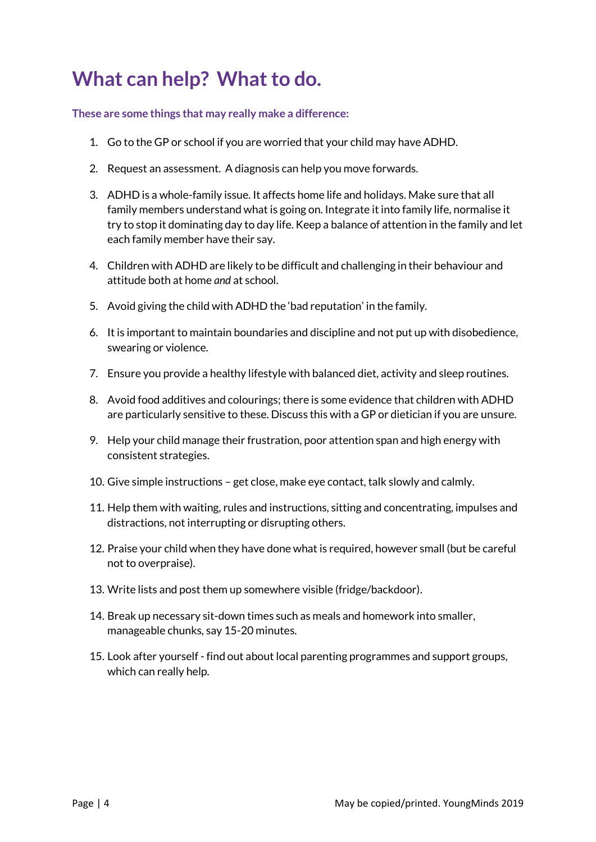## **What can help? What to do.**

**These are some things that may really make a difference:** 

- 1. Go to the GP or school if you are worried that your child may have ADHD.
- 2. Request an assessment. A diagnosis can help you move forwards.
- 3. ADHD is a whole-family issue. It affects home life and holidays. Make sure that all family members understand what is going on. Integrate it into family life, normalise it try to stop it dominating day to day life. Keep a balance of attention in the family and let each family member have their say.
- 4. Children with ADHD are likely to be difficult and challenging in their behaviour and attitude both at home *and* at school.
- 5. Avoid giving the child with ADHD the 'bad reputation' in the family.
- 6. It is important to maintain boundaries and discipline and not put up with disobedience, swearing or violence.
- 7. Ensure you provide a healthy lifestyle with balanced diet, activity and sleep routines.
- 8. Avoid food additives and colourings; there is some evidence that children with ADHD are particularly sensitive to these. Discuss this with a GP or dietician if you are unsure.
- 9. Help your child manage their frustration, poor attention span and high energy with consistent strategies.
- 10. Give simple instructions get close, make eye contact, talk slowly and calmly.
- 11. Help them with waiting, rules and instructions, sitting and concentrating, impulses and distractions, not interrupting or disrupting others.
- 12. Praise your child when they have done what is required, however small (but be careful not to overpraise).
- 13. Write lists and post them up somewhere visible (fridge/backdoor).
- 14. Break up necessary sit-down times such as meals and homework into smaller, manageable chunks, say 15-20 minutes.
- 15. Look after yourself find out about local parenting programmes and support groups, which can really help.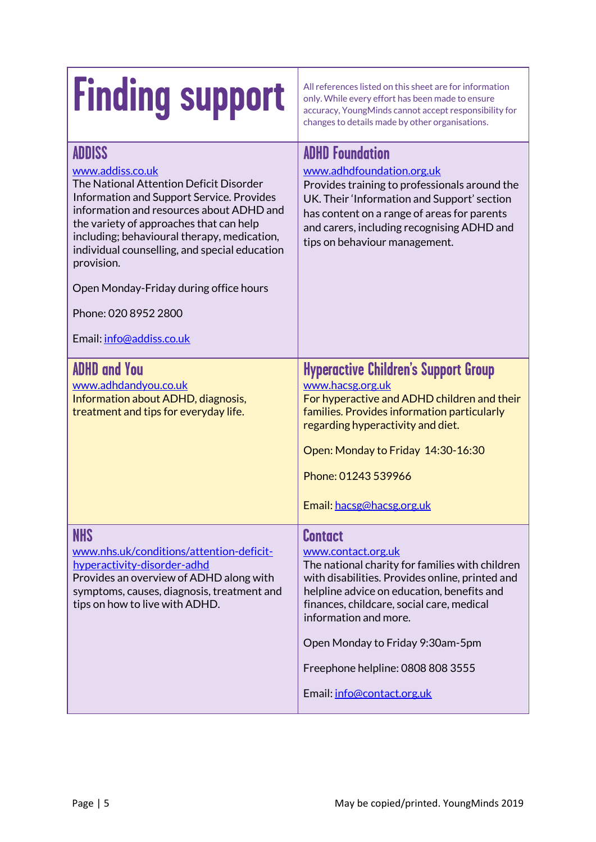| <b>Finding support</b>                                                                                                                                                                                                                                                                                                                                                                                                       | All references listed on this sheet are for information<br>only. While every effort has been made to ensure<br>accuracy, YoungMinds cannot accept responsibility for<br>changes to details made by other organisations.                                                                                                                                               |
|------------------------------------------------------------------------------------------------------------------------------------------------------------------------------------------------------------------------------------------------------------------------------------------------------------------------------------------------------------------------------------------------------------------------------|-----------------------------------------------------------------------------------------------------------------------------------------------------------------------------------------------------------------------------------------------------------------------------------------------------------------------------------------------------------------------|
| <b>ADDISS</b><br>www.addiss.co.uk<br>The National Attention Deficit Disorder<br>Information and Support Service. Provides<br>information and resources about ADHD and<br>the variety of approaches that can help<br>including; behavioural therapy, medication,<br>individual counselling, and special education<br>provision.<br>Open Monday-Friday during office hours<br>Phone: 020 8952 2800<br>Email: info@addiss.co.uk | <b>ADHD Foundation</b><br>www.adhdfoundation.org.uk<br>Provides training to professionals around the<br>UK. Their 'Information and Support' section<br>has content on a range of areas for parents<br>and carers, including recognising ADHD and<br>tips on behaviour management.                                                                                     |
| <b>ADHD and You</b><br>www.adhdandyou.co.uk<br>Information about ADHD, diagnosis,<br>treatment and tips for everyday life.                                                                                                                                                                                                                                                                                                   | <b>Hyperactive Children's Support Group</b><br>www.hacsg.org.uk<br>For hyperactive and ADHD children and their<br>families. Provides information particularly<br>regarding hyperactivity and diet.<br>Open: Monday to Friday 14:30-16:30<br>Phone: 01243 539966<br>Email: hacsg@hacsg.org.uk                                                                          |
| <b>NHS</b><br>www.nhs.uk/conditions/attention-deficit-<br>hyperactivity-disorder-adhd<br>Provides an overview of ADHD along with<br>symptoms, causes, diagnosis, treatment and<br>tips on how to live with ADHD.                                                                                                                                                                                                             | <b>Contact</b><br>www.contact.org.uk<br>The national charity for families with children<br>with disabilities. Provides online, printed and<br>helpline advice on education, benefits and<br>finances, childcare, social care, medical<br>information and more.<br>Open Monday to Friday 9:30am-5pm<br>Freephone helpline: 0808 808 3555<br>Email: info@contact.org.uk |